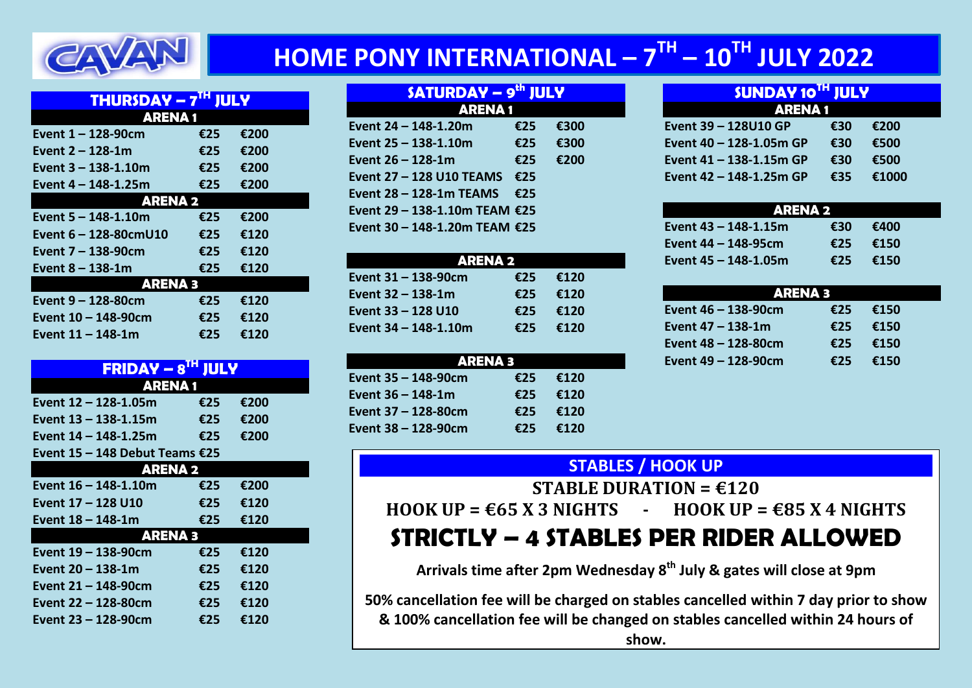

# **HOME PONY INTERNATIONAL – 7 TH – 10TH JULY 2022**

| <b>THURSDAY – <math>7^{\text{TH}}</math></b><br><b>JULY</b> |     |      |  |
|-------------------------------------------------------------|-----|------|--|
| <b>ARENA1</b>                                               |     |      |  |
| Event 1 - 128-90cm                                          | €25 | €200 |  |
| Event 2 - 128-1m                                            | €25 | €200 |  |
| Event 3 – 138-1.10m                                         | €25 | €200 |  |
| Event 4 – 148-1.25m                                         | €25 | €200 |  |
| <b>ARENA 2</b>                                              |     |      |  |
| Event 5 – 148-1.10m                                         | €25 | €200 |  |
| Event 6 – 128-80cmU10                                       | €25 | €120 |  |
| Event 7 – 138-90cm                                          | €25 | €120 |  |
| Event $8 - 138 - 1m$                                        | €25 | €120 |  |
| <b>Example 2</b> ARENA 3                                    |     |      |  |
| Event 9 – 128-80cm                                          | €25 | €120 |  |
| Event 10 - 148-90cm                                         | €25 | €120 |  |
| Event 11 – 148-1m                                           | €25 | €120 |  |

| $FRIDAY - 8TH$                 | <b>JULY</b> |      |  |
|--------------------------------|-------------|------|--|
| <b>ARENA1</b>                  |             |      |  |
| Event 12 - 128-1.05m           | €25         | €200 |  |
| Event 13 – 138-1.15m           | €25         | €200 |  |
| Event 14 – 148-1.25m           | €25         | €200 |  |
| Event 15 – 148 Debut Teams €25 |             |      |  |
| <b>ARENA 2</b>                 |             |      |  |
| Event 16 – 148-1.10m           | €25         | €200 |  |
| Event 17 – 128 U10             | €25         | €120 |  |
| Event 18 – 148-1m              | €25         | €120 |  |
| <b>ARENA 3</b>                 |             |      |  |
| Event 19 – 138-90cm            | €25         | €120 |  |
| Event 20 – 138-1m              | €25         | €120 |  |
| Event 21 – 148-90cm            | €25         | €120 |  |
| Event 22 – 128-80cm            | €25         | €120 |  |
| Event 23 – 128-90cm            | €25         | €120 |  |
|                                |             |      |  |

| <b>SATURDAY - 9th JULY</b>    |     |      |  |
|-------------------------------|-----|------|--|
| <b>ARENA1</b>                 |     |      |  |
| Event 24 - 148-1.20m          | €25 | €300 |  |
| Event 25 – 138-1.10m          | €25 | €300 |  |
| Event $26 - 128 - 1m$         | €25 | €200 |  |
| Event 27 - 128 U10 TEAMS      | €25 |      |  |
| Event 28 - 128-1m TEAMS       | €25 |      |  |
| Event 29 - 138-1.10m TEAM €25 |     |      |  |
| Event 30 – 148-1.20m TEAM €25 |     |      |  |

| ARENA 2               |     |      |  |
|-----------------------|-----|------|--|
| Event 31 - 138-90cm   | €25 | €120 |  |
| Event $32 - 138 - 1m$ | €25 | €120 |  |
| Event 33 - 128 U10    | €25 | €120 |  |
| Event 34 - 148-1.10m  | €25 | €120 |  |

| ARENA 3               |     |      |
|-----------------------|-----|------|
| Event 35 - 148-90cm   | €25 | €120 |
| Event $36 - 148 - 1m$ | €25 | €120 |
| Event 37 - 128-80cm   | €25 | €120 |
| Event 38 - 128-90cm   | €25 | €120 |

| <b>SUNDAY 10TH JULY</b> |     |       |
|-------------------------|-----|-------|
| <b>ARENA1</b>           |     |       |
| Event 39 - 128U10 GP    | €30 | €200  |
| Event 40 - 128-1.05m GP | €30 | €500  |
| Event 41 - 138-1.15m GP | €30 | €500  |
| Event 42 - 148-1.25m GP | €35 | €1000 |

| ARENA 2                   |     |      |
|---------------------------|-----|------|
| Event 43 – 148-1.15m      | €30 | €400 |
| Event $44 - 148 - 95$ cm  | €25 | €150 |
| Event $45 - 148 - 1.05$ m | €25 | €150 |

| <b>ARENA 3</b>           |     |      |
|--------------------------|-----|------|
| Event $46 - 138 - 90$ cm | €25 | €150 |
| Event $47 - 138 - 1m$    | €25 | €150 |
| Event 48 - 128-80cm      | €25 | €150 |
| Event 49 - 128-90cm      | €25 | €150 |

## **STABLES / HOOK UP**

**STABLE DURATION = €120**  $HOOK UP = \epsilon 65 X 3 NIGHTS$  -  $HOOK UP = \epsilon 85 X 4 NIGHTS$ **STRICTLY – 4 STABLES PER RIDER ALLOWED**

**Arrivals time after 2pm Wednesday 8th July & gates will close at 9pm**

**50% cancellation fee will be charged on stables cancelled within 7 day prior to show & 100% cancellation fee will be changed on stables cancelled within 24 hours of show.**